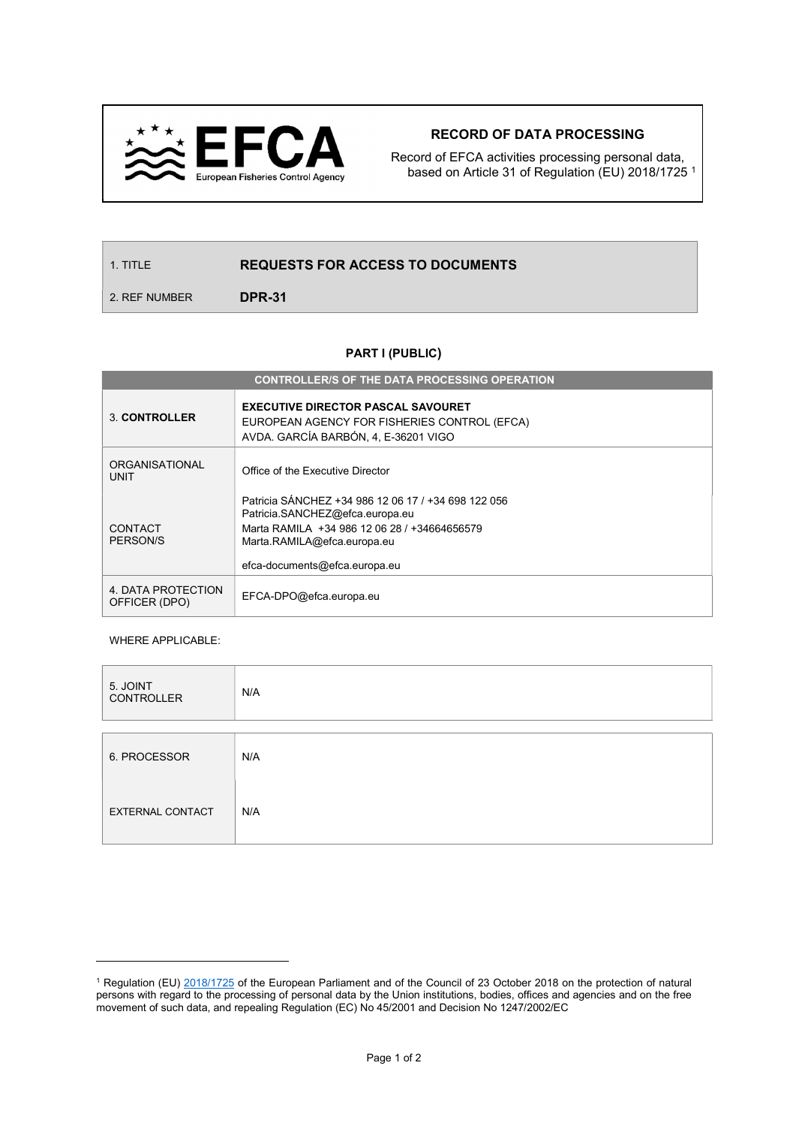

## RECORD OF DATA PROCESSING

Record of EFCA activities processing personal data, based on Article 31 of Regulation (EU) 2018/1725 <sup>1</sup>

## 1. TITLE **REQUESTS FOR ACCESS TO DOCUMENTS**

2. REF NUMBER **DPR-31** 

## PART I (PUBLIC)

| <b>CONTROLLER/S OF THE DATA PROCESSING OPERATION</b> |                                                                                                                                                                                                        |  |  |  |  |  |
|------------------------------------------------------|--------------------------------------------------------------------------------------------------------------------------------------------------------------------------------------------------------|--|--|--|--|--|
| <b>3. CONTROLLER</b>                                 | <b>EXECUTIVE DIRECTOR PASCAL SAVOURET</b><br>EUROPEAN AGENCY FOR FISHERIES CONTROL (EFCA)<br>AVDA, GARCÍA BARBÓN, 4, E-36201 VIGO                                                                      |  |  |  |  |  |
| <b>ORGANISATIONAL</b><br><b>UNIT</b>                 | Office of the Executive Director                                                                                                                                                                       |  |  |  |  |  |
| CONTACT<br>PERSON/S                                  | Patricia SÁNCHEZ +34 986 12 06 17 / +34 698 122 056<br>Patricia.SANCHEZ@efca.europa.eu<br>Marta RAMILA +34 986 12 06 28 / +34664656579<br>Marta.RAMILA@efca.europa.eu<br>efca-documents@efca.europa.eu |  |  |  |  |  |
| 4. DATA PROTECTION<br>OFFICER (DPO)                  | EFCA-DPO@efca.europa.eu                                                                                                                                                                                |  |  |  |  |  |

## WHERE APPLICABLE:

 $\overline{a}$ 

| 5. JOINT<br><b>CONTROLLER</b> | N/A |
|-------------------------------|-----|
|                               |     |
| 6. PROCESSOR                  | N/A |
| EXTERNAL CONTACT              | N/A |

<sup>&</sup>lt;sup>1</sup> Regulation (EU) 2018/1725 of the European Parliament and of the Council of 23 October 2018 on the protection of natural persons with regard to the processing of personal data by the Union institutions, bodies, offices and agencies and on the free movement of such data, and repealing Regulation (EC) No 45/2001 and Decision No 1247/2002/EC